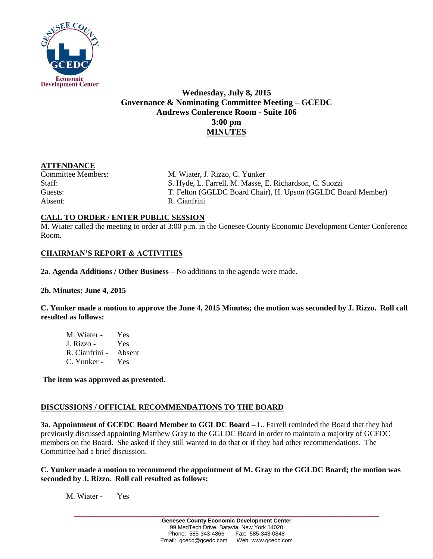

# **Wednesday, July 8, 2015 Governance & Nominating Committee Meeting – GCEDC Andrews Conference Room - Suite 106 3:00 pm MINUTES**

#### **ATTENDANCE**

Absent: R. Cianfrini

Committee Members: M. Wiater, J. Rizzo, C. Yunker Staff: S. Hyde, L. Farrell, M. Masse, E. Richardson, C. Suozzi Guests: T. Felton (GGLDC Board Chair), H. Upson (GGLDC Board Member)

# **CALL TO ORDER / ENTER PUBLIC SESSION**

M. Wiater called the meeting to order at 3:00 p.m. in the Genesee County Economic Development Center Conference Room.

### **CHAIRMAN'S REPORT & ACTIVITIES**

**2a. Agenda Additions / Other Business –** No additions to the agenda were made.

#### **2b. Minutes: June 4, 2015**

**C. Yunker made a motion to approve the June 4, 2015 Minutes; the motion was seconded by J. Rizzo. Roll call resulted as follows:**

M. Wiater - Yes J. Rizzo - Yes R. Cianfrini - Absent C. Yunker - Yes

**The item was approved as presented.** 

#### **DISCUSSIONS / OFFICIAL RECOMMENDATIONS TO THE BOARD**

**3a. Appointment of GCEDC Board Member to GGLDC Board –** L. Farrell reminded the Board that they had previously discussed appointing Matthew Gray to the GGLDC Board in order to maintain a majority of GCEDC members on the Board. She asked if they still wanted to do that or if they had other recommendations. The Committee had a brief discussion.

#### **C. Yunker made a motion to recommend the appointment of M. Gray to the GGLDC Board; the motion was seconded by J. Rizzo. Roll call resulted as follows:**

M. Wiater - Yes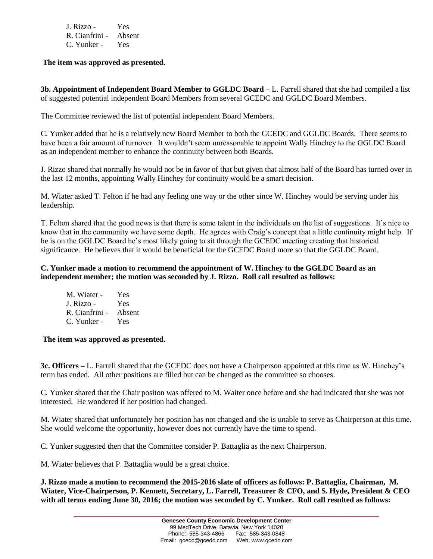| J. Rizzo -     | Yes.   |
|----------------|--------|
| R. Cianfrini - | Absent |
| C. Yunker -    | Yes    |

**The item was approved as presented.** 

**3b. Appointment of Independent Board Member to GGLDC Board –** L. Farrell shared that she had compiled a list of suggested potential independent Board Members from several GCEDC and GGLDC Board Members.

The Committee reviewed the list of potential independent Board Members.

C. Yunker added that he is a relatively new Board Member to both the GCEDC and GGLDC Boards. There seems to have been a fair amount of turnover. It wouldn't seem unreasonable to appoint Wally Hinchey to the GGLDC Board as an independent member to enhance the continuity between both Boards.

J. Rizzo shared that normally he would not be in favor of that but given that almost half of the Board has turned over in the last 12 months, appointing Wally Hinchey for continuity would be a smart decision.

M. Wiater asked T. Felton if he had any feeling one way or the other since W. Hinchey would be serving under his leadership.

T. Felton shared that the good news is that there is some talent in the individuals on the list of suggestions. It's nice to know that in the community we have some depth. He agrees with Craig's concept that a little continuity might help. If he is on the GGLDC Board he's most likely going to sit through the GCEDC meeting creating that historical significance. He believes that it would be beneficial for the GCEDC Board more so that the GGLDC Board.

## **C. Yunker made a motion to recommend the appointment of W. Hinchey to the GGLDC Board as an independent member; the motion was seconded by J. Rizzo. Roll call resulted as follows:**

M. Wiater - Yes J. Rizzo - Yes R. Cianfrini - Absent C. Yunker - Yes

**The item was approved as presented.** 

**3c. Officers –** L. Farrell shared that the GCEDC does not have a Chairperson appointed at this time as W. Hinchey's term has ended. All other positions are filled but can be changed as the committee so chooses.

C. Yunker shared that the Chair positon was offered to M. Waiter once before and she had indicated that she was not interested. He wondered if her position had changed.

M. Wiater shared that unfortunately her position has not changed and she is unable to serve as Chairperson at this time. She would welcome the opportunity, however does not currently have the time to spend.

C. Yunker suggested then that the Committee consider P. Battaglia as the next Chairperson.

M. Wiater believes that P. Battaglia would be a great choice.

**J. Rizzo made a motion to recommend the 2015-2016 slate of officers as follows: P. Battaglia, Chairman, M. Wiater, Vice-Chairperson, P. Kennett, Secretary, L. Farrell, Treasurer & CFO, and S. Hyde, President & CEO with all terms ending June 30, 2016; the motion was seconded by C. Yunker. Roll call resulted as follows:**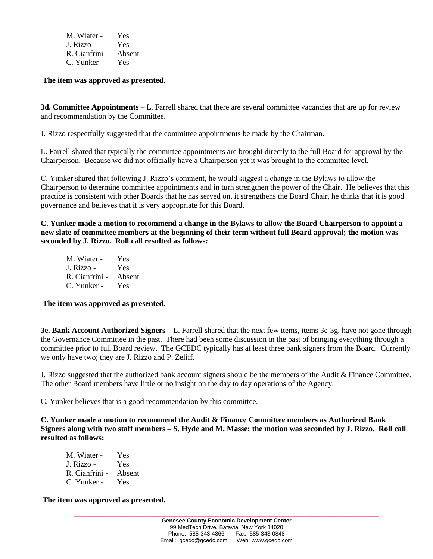| M. Wiater -    | Yes    |
|----------------|--------|
| J. Rizzo -     | Yes    |
| R. Cianfrini - | Absent |
| C. Yunker -    | Yes    |

**The item was approved as presented.** 

**3d. Committee Appointments –** L. Farrell shared that there are several committee vacancies that are up for review and recommendation by the Committee.

J. Rizzo respectfully suggested that the committee appointments be made by the Chairman.

L. Farrell shared that typically the committee appointments are brought directly to the full Board for approval by the Chairperson. Because we did not officially have a Chairperson yet it was brought to the committee level.

C. Yunker shared that following J. Rizzo's comment, he would suggest a change in the Bylaws to allow the Chairperson to determine committee appointments and in turn strengthen the power of the Chair. He believes that this practice is consistent with other Boards that he has served on, it strengthens the Board Chair, he thinks that it is good governance and believes that it is very appropriate for this Board.

**C. Yunker made a motion to recommend a change in the Bylaws to allow the Board Chairperson to appoint a new slate of committee members at the beginning of their term without full Board approval; the motion was seconded by J. Rizzo. Roll call resulted as follows:**

M. Wiater - Yes J. Rizzo - Yes R. Cianfrini - Absent C. Yunker - Yes

#### **The item was approved as presented.**

**3e. Bank Account Authorized Signers –** L. Farrell shared that the next few items, items 3e-3g, have not gone through the Governance Committee in the past. There had been some discussion in the past of bringing everything through a committee prior to full Board review. The GCEDC typically has at least three bank signers from the Board. Currently we only have two; they are J. Rizzo and P. Zeliff.

J. Rizzo suggested that the authorized bank account signers should be the members of the Audit & Finance Committee. The other Board members have little or no insight on the day to day operations of the Agency.

C. Yunker believes that is a good recommendation by this committee.

**C. Yunker made a motion to recommend the Audit & Finance Committee members as Authorized Bank Signers along with two staff members – S. Hyde and M. Masse; the motion was seconded by J. Rizzo. Roll call resulted as follows:**

| M. Wiater -    | Yes    |
|----------------|--------|
| J. Rizzo -     | Yes    |
| R. Cianfrini - | Absent |
| C. Yunker -    | Yes    |

**The item was approved as presented.**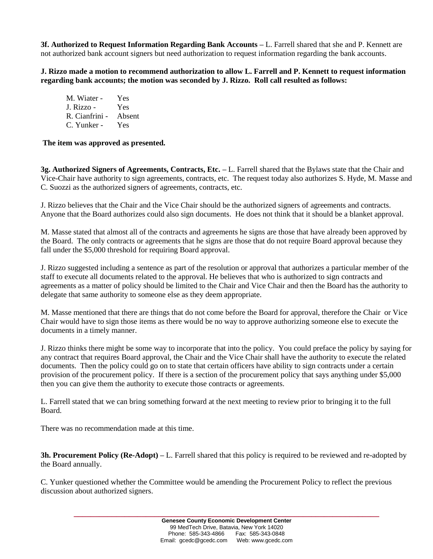**3f. Authorized to Request Information Regarding Bank Accounts –** L. Farrell shared that she and P. Kennett are not authorized bank account signers but need authorization to request information regarding the bank accounts.

**J. Rizzo made a motion to recommend authorization to allow L. Farrell and P. Kennett to request information regarding bank accounts; the motion was seconded by J. Rizzo. Roll call resulted as follows:**

M. Wiater - Yes J. Rizzo - Yes R. Cianfrini - Absent C. Yunker - Yes

**The item was approved as presented.** 

**3g. Authorized Signers of Agreements, Contracts, Etc. –** L. Farrell shared that the Bylaws state that the Chair and Vice-Chair have authority to sign agreements, contracts, etc. The request today also authorizes S. Hyde, M. Masse and C. Suozzi as the authorized signers of agreements, contracts, etc.

J. Rizzo believes that the Chair and the Vice Chair should be the authorized signers of agreements and contracts. Anyone that the Board authorizes could also sign documents. He does not think that it should be a blanket approval.

M. Masse stated that almost all of the contracts and agreements he signs are those that have already been approved by the Board. The only contracts or agreements that he signs are those that do not require Board approval because they fall under the \$5,000 threshold for requiring Board approval.

J. Rizzo suggested including a sentence as part of the resolution or approval that authorizes a particular member of the staff to execute all documents related to the approval. He believes that who is authorized to sign contracts and agreements as a matter of policy should be limited to the Chair and Vice Chair and then the Board has the authority to delegate that same authority to someone else as they deem appropriate.

M. Masse mentioned that there are things that do not come before the Board for approval, therefore the Chair or Vice Chair would have to sign those items as there would be no way to approve authorizing someone else to execute the documents in a timely manner.

J. Rizzo thinks there might be some way to incorporate that into the policy. You could preface the policy by saying for any contract that requires Board approval, the Chair and the Vice Chair shall have the authority to execute the related documents. Then the policy could go on to state that certain officers have ability to sign contracts under a certain provision of the procurement policy. If there is a section of the procurement policy that says anything under \$5,000 then you can give them the authority to execute those contracts or agreements.

L. Farrell stated that we can bring something forward at the next meeting to review prior to bringing it to the full Board.

There was no recommendation made at this time.

**3h. Procurement Policy (Re-Adopt) –** L. Farrell shared that this policy is required to be reviewed and re-adopted by the Board annually.

C. Yunker questioned whether the Committee would be amending the Procurement Policy to reflect the previous discussion about authorized signers.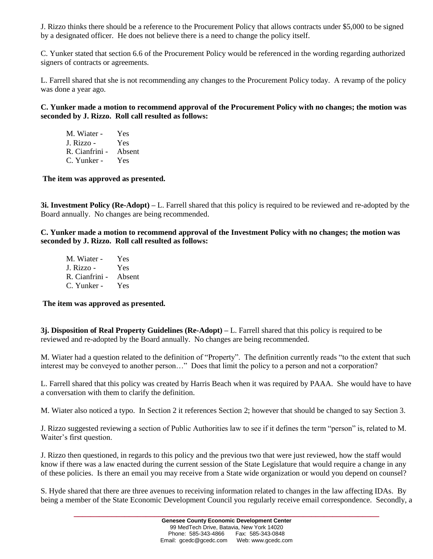J. Rizzo thinks there should be a reference to the Procurement Policy that allows contracts under \$5,000 to be signed by a designated officer. He does not believe there is a need to change the policy itself.

C. Yunker stated that section 6.6 of the Procurement Policy would be referenced in the wording regarding authorized signers of contracts or agreements.

L. Farrell shared that she is not recommending any changes to the Procurement Policy today. A revamp of the policy was done a year ago.

**C. Yunker made a motion to recommend approval of the Procurement Policy with no changes; the motion was seconded by J. Rizzo. Roll call resulted as follows:**

| M. Wiater -    | Yes    |
|----------------|--------|
| J. Rizzo -     | Yes    |
| R. Cianfrini - | Absent |
| C. Yunker -    | Yes    |

**The item was approved as presented.** 

**3i. Investment Policy (Re-Adopt) –** L. Farrell shared that this policy is required to be reviewed and re-adopted by the Board annually. No changes are being recommended.

**C. Yunker made a motion to recommend approval of the Investment Policy with no changes; the motion was seconded by J. Rizzo. Roll call resulted as follows:**

| M. Wiater -    | Yes    |
|----------------|--------|
| J. Rizzo -     | Yes    |
| R. Cianfrini - | Absent |
| C. Yunker -    | Yes    |

#### **The item was approved as presented.**

**3j. Disposition of Real Property Guidelines (Re-Adopt) –** L. Farrell shared that this policy is required to be reviewed and re-adopted by the Board annually. No changes are being recommended.

M. Wiater had a question related to the definition of "Property". The definition currently reads "to the extent that such interest may be conveyed to another person…" Does that limit the policy to a person and not a corporation?

L. Farrell shared that this policy was created by Harris Beach when it was required by PAAA. She would have to have a conversation with them to clarify the definition.

M. Wiater also noticed a typo. In Section 2 it references Section 2; however that should be changed to say Section 3.

J. Rizzo suggested reviewing a section of Public Authorities law to see if it defines the term "person" is, related to M. Waiter's first question.

J. Rizzo then questioned, in regards to this policy and the previous two that were just reviewed, how the staff would know if there was a law enacted during the current session of the State Legislature that would require a change in any of these policies. Is there an email you may receive from a State wide organization or would you depend on counsel?

S. Hyde shared that there are three avenues to receiving information related to changes in the law affecting IDAs. By being a member of the State Economic Development Council you regularly receive email correspondence. Secondly, a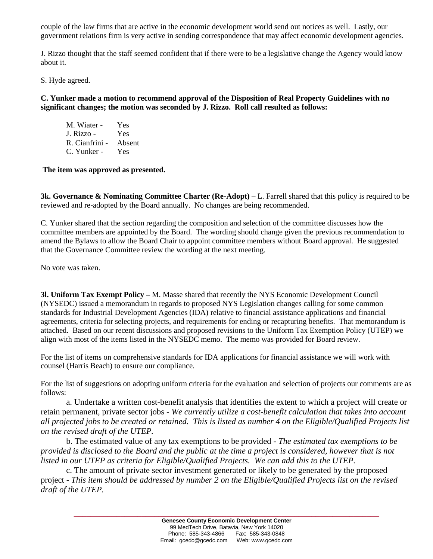couple of the law firms that are active in the economic development world send out notices as well. Lastly, our government relations firm is very active in sending correspondence that may affect economic development agencies.

J. Rizzo thought that the staff seemed confident that if there were to be a legislative change the Agency would know about it.

S. Hyde agreed.

**C. Yunker made a motion to recommend approval of the Disposition of Real Property Guidelines with no significant changes; the motion was seconded by J. Rizzo. Roll call resulted as follows:**

M. Wiater - Yes J. Rizzo - Yes R. Cianfrini - Absent C. Yunker - Yes

**The item was approved as presented.** 

**3k. Governance & Nominating Committee Charter (Re-Adopt)** – L. Farrell shared that this policy is required to be reviewed and re-adopted by the Board annually. No changes are being recommended.

C. Yunker shared that the section regarding the composition and selection of the committee discusses how the committee members are appointed by the Board. The wording should change given the previous recommendation to amend the Bylaws to allow the Board Chair to appoint committee members without Board approval. He suggested that the Governance Committee review the wording at the next meeting.

No vote was taken.

**3l. Uniform Tax Exempt Policy –** M. Masse shared that recently the NYS Economic Development Council (NYSEDC) issued a memorandum in regards to proposed NYS Legislation changes calling for some common standards for Industrial Development Agencies (IDA) relative to financial assistance applications and financial agreements, criteria for selecting projects, and requirements for ending or recapturing benefits. That memorandum is attached. Based on our recent discussions and proposed revisions to the Uniform Tax Exemption Policy (UTEP) we align with most of the items listed in the NYSEDC memo. The memo was provided for Board review.

For the list of items on comprehensive standards for IDA applications for financial assistance we will work with counsel (Harris Beach) to ensure our compliance.

For the list of suggestions on adopting uniform criteria for the evaluation and selection of projects our comments are as follows:

a. Undertake a written cost-benefit analysis that identifies the extent to which a project will create or retain permanent, private sector jobs - *We currently utilize a cost-benefit calculation that takes into account all projected jobs to be created or retained. This is listed as number 4 on the Eligible/Qualified Projects list on the revised draft of the UTEP.*

b. The estimated value of any tax exemptions to be provided - *The estimated tax exemptions to be provided is disclosed to the Board and the public at the time a project is considered, however that is not listed in our UTEP as criteria for Eligible/Qualified Projects. We can add this to the UTEP.*

c. The amount of private sector investment generated or likely to be generated by the proposed project - *This item should be addressed by number 2 on the Eligible/Qualified Projects list on the revised draft of the UTEP.*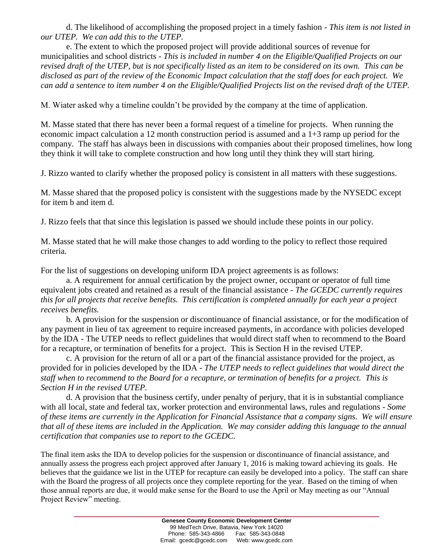d. The likelihood of accomplishing the proposed project in a timely fashion - *This item is not listed in our UTEP. We can add this to the UTEP.*

e. The extent to which the proposed project will provide additional sources of revenue for municipalities and school districts - *This is included in number 4 on the Eligible/Qualified Projects on our revised draft of the UTEP, but is not specifically listed as an item to be considered on its own. This can be disclosed as part of the review of the Economic Impact calculation that the staff does for each project. We can add a sentence to item number 4 on the Eligible/Qualified Projects list on the revised draft of the UTEP.*

M. Wiater asked why a timeline couldn't be provided by the company at the time of application.

M. Masse stated that there has never been a formal request of a timeline for projects. When running the economic impact calculation a 12 month construction period is assumed and a 1+3 ramp up period for the company. The staff has always been in discussions with companies about their proposed timelines, how long they think it will take to complete construction and how long until they think they will start hiring.

J. Rizzo wanted to clarify whether the proposed policy is consistent in all matters with these suggestions.

M. Masse shared that the proposed policy is consistent with the suggestions made by the NYSEDC except for item b and item d.

J. Rizzo feels that that since this legislation is passed we should include these points in our policy.

M. Masse stated that he will make those changes to add wording to the policy to reflect those required criteria.

For the list of suggestions on developing uniform IDA project agreements is as follows:

a. A requirement for annual certification by the project owner, occupant or operator of full time equivalent jobs created and retained as a result of the financial assistance - *The GCEDC currently requires this for all projects that receive benefits. This certification is completed annually for each year a project receives benefits.*

b. A provision for the suspension or discontinuance of financial assistance, or for the modification of any payment in lieu of tax agreement to require increased payments, in accordance with policies developed by the IDA - The UTEP needs to reflect guidelines that would direct staff when to recommend to the Board for a recapture, or termination of benefits for a project. This is Section H in the revised UTEP.

c. A provision for the return of all or a part of the financial assistance provided for the project, as provided for in policies developed by the IDA - *The UTEP needs to reflect guidelines that would direct the staff when to recommend to the Board for a recapture, or termination of benefits for a project. This is Section H in the revised UTEP.*

d. A provision that the business certify, under penalty of perjury, that it is in substantial compliance with all local, state and federal tax, worker protection and environmental laws, rules and regulations - *Some of these items are currently in the Application for Financial Assistance that a company signs. We will ensure that all of these items are included in the Application. We may consider adding this language to the annual certification that companies use to report to the GCEDC.*

The final item asks the IDA to develop policies for the suspension or discontinuance of financial assistance, and annually assess the progress each project approved after January 1, 2016 is making toward achieving its goals. He believes that the guidance we list in the UTEP for recapture can easily be developed into a policy. The staff can share with the Board the progress of all projects once they complete reporting for the year. Based on the timing of when those annual reports are due, it would make sense for the Board to use the April or May meeting as our "Annual Project Review" meeting.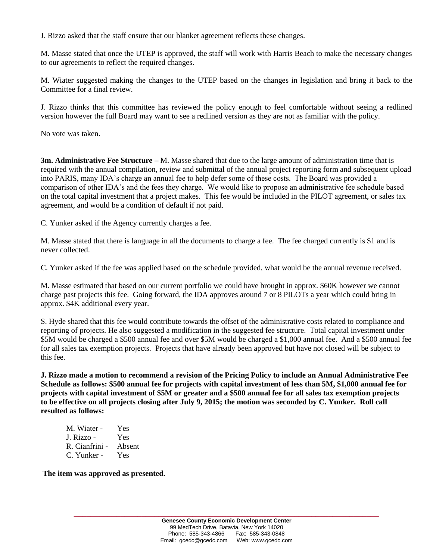J. Rizzo asked that the staff ensure that our blanket agreement reflects these changes.

M. Masse stated that once the UTEP is approved, the staff will work with Harris Beach to make the necessary changes to our agreements to reflect the required changes.

M. Wiater suggested making the changes to the UTEP based on the changes in legislation and bring it back to the Committee for a final review.

J. Rizzo thinks that this committee has reviewed the policy enough to feel comfortable without seeing a redlined version however the full Board may want to see a redlined version as they are not as familiar with the policy.

No vote was taken.

**3m. Administrative Fee Structure –** M. Masse shared that due to the large amount of administration time that is required with the annual compilation, review and submittal of the annual project reporting form and subsequent upload into PARIS, many IDA's charge an annual fee to help defer some of these costs. The Board was provided a comparison of other IDA's and the fees they charge. We would like to propose an administrative fee schedule based on the total capital investment that a project makes. This fee would be included in the PILOT agreement, or sales tax agreement, and would be a condition of default if not paid.

C. Yunker asked if the Agency currently charges a fee.

M. Masse stated that there is language in all the documents to charge a fee. The fee charged currently is \$1 and is never collected.

C. Yunker asked if the fee was applied based on the schedule provided, what would be the annual revenue received.

M. Masse estimated that based on our current portfolio we could have brought in approx. \$60K however we cannot charge past projects this fee. Going forward, the IDA approves around 7 or 8 PILOTs a year which could bring in approx. \$4K additional every year.

S. Hyde shared that this fee would contribute towards the offset of the administrative costs related to compliance and reporting of projects. He also suggested a modification in the suggested fee structure. Total capital investment under \$5M would be charged a \$500 annual fee and over \$5M would be charged a \$1,000 annual fee. And a \$500 annual fee for all sales tax exemption projects. Projects that have already been approved but have not closed will be subject to this fee.

**J. Rizzo made a motion to recommend a revision of the Pricing Policy to include an Annual Administrative Fee Schedule as follows: \$500 annual fee for projects with capital investment of less than 5M, \$1,000 annual fee for projects with capital investment of \$5M or greater and a \$500 annual fee for all sales tax exemption projects to be effective on all projects closing after July 9, 2015; the motion was seconded by C. Yunker. Roll call resulted as follows:**

| M. Wiater -    | Yes    |
|----------------|--------|
| J. Rizzo -     | Yes    |
| R. Cianfrini - | Absent |
| C. Yunker -    | Yes    |

**The item was approved as presented.**